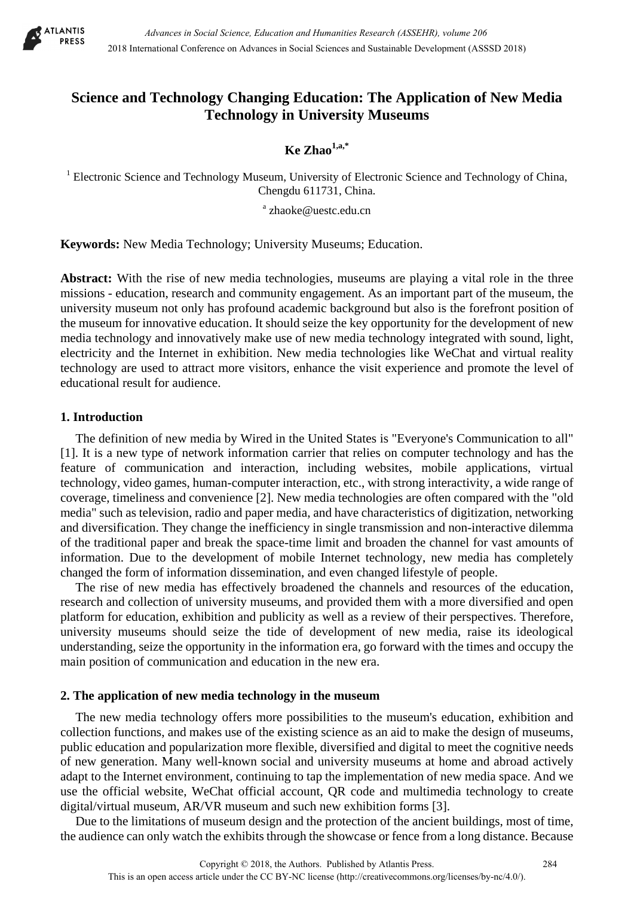

# **Science and Technology Changing Education: The Application of New Media Technology in University Museums**

 $\mathbf{K}$ e Zhao<sup>1,a,\*</sup>

<sup>1</sup> Electronic Science and Technology Museum, University of Electronic Science and Technology of China, Chengdu 611731, China.

<sup>a</sup> zhaoke@uestc.edu.cn

**Keywords:** New Media Technology; University Museums; Education.

**Abstract:** With the rise of new media technologies, museums are playing a vital role in the three missions - education, research and community engagement. As an important part of the museum, the university museum not only has profound academic background but also is the forefront position of the museum for innovative education. It should seize the key opportunity for the development of new media technology and innovatively make use of new media technology integrated with sound, light, electricity and the Internet in exhibition. New media technologies like WeChat and virtual reality technology are used to attract more visitors, enhance the visit experience and promote the level of educational result for audience.

## **1. Introduction**

The definition of new media by Wired in the United States is "Everyone's Communication to all" [1]. It is a new type of network information carrier that relies on computer technology and has the feature of communication and interaction, including websites, mobile applications, virtual technology, video games, human-computer interaction, etc., with strong interactivity, a wide range of coverage, timeliness and convenience [2]. New media technologies are often compared with the "old media" such as television, radio and paper media, and have characteristics of digitization, networking and diversification. They change the inefficiency in single transmission and non-interactive dilemma of the traditional paper and break the space-time limit and broaden the channel for vast amounts of information. Due to the development of mobile Internet technology, new media has completely changed the form of information dissemination, and even changed lifestyle of people.

The rise of new media has effectively broadened the channels and resources of the education, research and collection of university museums, and provided them with a more diversified and open platform for education, exhibition and publicity as well as a review of their perspectives. Therefore, university museums should seize the tide of development of new media, raise its ideological understanding, seize the opportunity in the information era, go forward with the times and occupy the main position of communication and education in the new era.

## **2. The application of new media technology in the museum**

The new media technology offers more possibilities to the museum's education, exhibition and collection functions, and makes use of the existing science as an aid to make the design of museums, public education and popularization more flexible, diversified and digital to meet the cognitive needs of new generation. Many well-known social and university museums at home and abroad actively adapt to the Internet environment, continuing to tap the implementation of new media space. And we use the official website, WeChat official account, QR code and multimedia technology to create digital/virtual museum, AR/VR museum and such new exhibition forms [3].

Due to the limitations of museum design and the protection of the ancient buildings, most of time, the audience can only watch the exhibits through the showcase or fence from a long distance. Because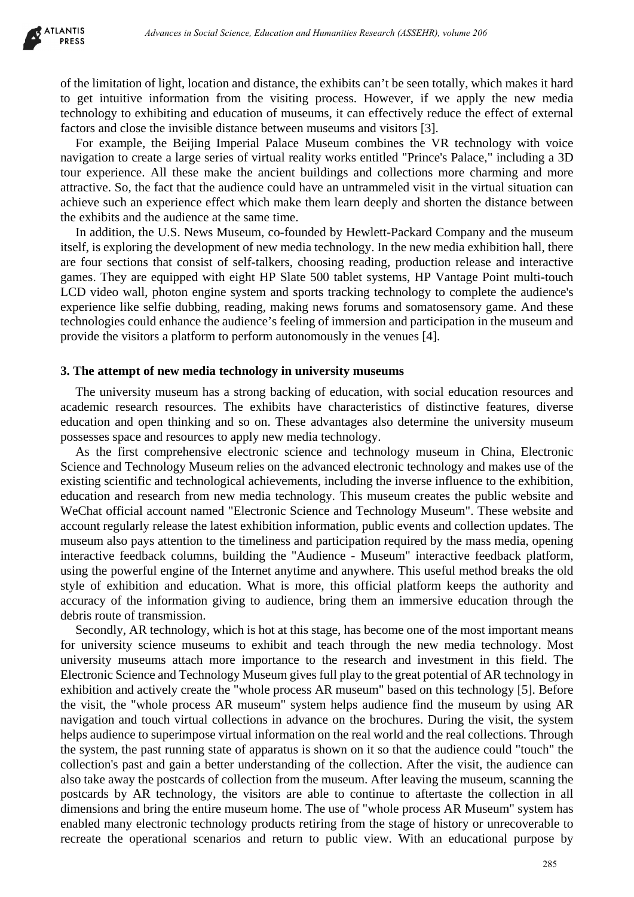

of the limitation of light, location and distance, the exhibits can't be seen totally, which makes it hard to get intuitive information from the visiting process. However, if we apply the new media technology to exhibiting and education of museums, it can effectively reduce the effect of external factors and close the invisible distance between museums and visitors [3].

For example, the Beijing Imperial Palace Museum combines the VR technology with voice navigation to create a large series of virtual reality works entitled "Prince's Palace," including a 3D tour experience. All these make the ancient buildings and collections more charming and more attractive. So, the fact that the audience could have an untrammeled visit in the virtual situation can achieve such an experience effect which make them learn deeply and shorten the distance between the exhibits and the audience at the same time.

In addition, the U.S. News Museum, co-founded by Hewlett-Packard Company and the museum itself, is exploring the development of new media technology. In the new media exhibition hall, there are four sections that consist of self-talkers, choosing reading, production release and interactive games. They are equipped with eight HP Slate 500 tablet systems, HP Vantage Point multi-touch LCD video wall, photon engine system and sports tracking technology to complete the audience's experience like selfie dubbing, reading, making news forums and somatosensory game. And these technologies could enhance the audience's feeling of immersion and participation in the museum and provide the visitors a platform to perform autonomously in the venues [4].

#### **3. The attempt of new media technology in university museums**

The university museum has a strong backing of education, with social education resources and academic research resources. The exhibits have characteristics of distinctive features, diverse education and open thinking and so on. These advantages also determine the university museum possesses space and resources to apply new media technology.

As the first comprehensive electronic science and technology museum in China, Electronic Science and Technology Museum relies on the advanced electronic technology and makes use of the existing scientific and technological achievements, including the inverse influence to the exhibition, education and research from new media technology. This museum creates the public website and WeChat official account named "Electronic Science and Technology Museum". These website and account regularly release the latest exhibition information, public events and collection updates. The museum also pays attention to the timeliness and participation required by the mass media, opening interactive feedback columns, building the "Audience - Museum" interactive feedback platform, using the powerful engine of the Internet anytime and anywhere. This useful method breaks the old style of exhibition and education. What is more, this official platform keeps the authority and accuracy of the information giving to audience, bring them an immersive education through the debris route of transmission.

Secondly, AR technology, which is hot at this stage, has become one of the most important means for university science museums to exhibit and teach through the new media technology. Most university museums attach more importance to the research and investment in this field. The Electronic Science and Technology Museum gives full play to the great potential of AR technology in exhibition and actively create the "whole process AR museum" based on this technology [5]. Before the visit, the "whole process AR museum" system helps audience find the museum by using AR navigation and touch virtual collections in advance on the brochures. During the visit, the system helps audience to superimpose virtual information on the real world and the real collections. Through the system, the past running state of apparatus is shown on it so that the audience could "touch" the collection's past and gain a better understanding of the collection. After the visit, the audience can also take away the postcards of collection from the museum. After leaving the museum, scanning the postcards by AR technology, the visitors are able to continue to aftertaste the collection in all dimensions and bring the entire museum home. The use of "whole process AR Museum" system has enabled many electronic technology products retiring from the stage of history or unrecoverable to recreate the operational scenarios and return to public view. With an educational purpose by debenera in Social Science, Education and Humanities Research (ASSEHR), where 286<br>
In flight, location and distance, the exhibits can't be seen tradily, which makes it information from the visiting process. However, if we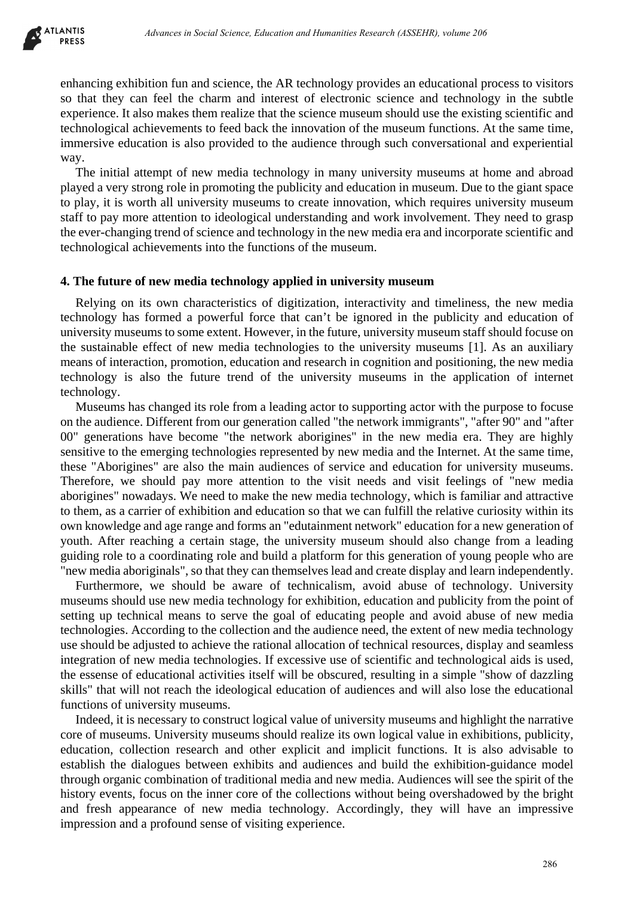enhancing exhibition fun and science, the AR technology provides an educational process to visitors so that they can feel the charm and interest of electronic science and technology in the subtle experience. It also makes them realize that the science museum should use the existing scientific and technological achievements to feed back the innovation of the museum functions. At the same time, immersive education is also provided to the audience through such conversational and experiential way.

The initial attempt of new media technology in many university museums at home and abroad played a very strong role in promoting the publicity and education in museum. Due to the giant space to play, it is worth all university museums to create innovation, which requires university museum staff to pay more attention to ideological understanding and work involvement. They need to grasp the ever-changing trend of science and technology in the new media era and incorporate scientific and technological achievements into the functions of the museum.

### **4. The future of new media technology applied in university museum**

Relying on its own characteristics of digitization, interactivity and timeliness, the new media technology has formed a powerful force that can't be ignored in the publicity and education of university museums to some extent. However, in the future, university museum staff should focuse on the sustainable effect of new media technologies to the university museums [1]. As an auxiliary means of interaction, promotion, education and research in cognition and positioning, the new media technology is also the future trend of the university museums in the application of internet technology.

Museums has changed its role from a leading actor to supporting actor with the purpose to focuse on the audience. Different from our generation called "the network immigrants", "after 90" and "after 00" generations have become "the network aborigines" in the new media era. They are highly sensitive to the emerging technologies represented by new media and the Internet. At the same time, these "Aborigines" are also the main audiences of service and education for university museums. Therefore, we should pay more attention to the visit needs and visit feelings of "new media aborigines" nowadays. We need to make the new media technology, which is familiar and attractive to them, as a carrier of exhibition and education so that we can fulfill the relative curiosity within its own knowledge and age range and forms an "edutainment network" education for a new generation of youth. After reaching a certain stage, the university museum should also change from a leading guiding role to a coordinating role and build a platform for this generation of young people who are "new media aboriginals", so that they can themselves lead and create display and learn independently. *Advances in Social Science, Education and Humanities Research (ASSEHR), where 286<br>
Hinn fun and science, the AR Ischnology provides an educational process to visit<br>
from fund science and the character of electronic esiste* 

Furthermore, we should be aware of technicalism, avoid abuse of technology. University museums should use new media technology for exhibition, education and publicity from the point of setting up technical means to serve the goal of educating people and avoid abuse of new media technologies. According to the collection and the audience need, the extent of new media technology use should be adjusted to achieve the rational allocation of technical resources, display and seamless integration of new media technologies. If excessive use of scientific and technological aids is used, the essense of educational activities itself will be obscured, resulting in a simple "show of dazzling skills" that will not reach the ideological education of audiences and will also lose the educational functions of university museums.

Indeed, it is necessary to construct logical value of university museums and highlight the narrative core of museums. University museums should realize its own logical value in exhibitions, publicity, education, collection research and other explicit and implicit functions. It is also advisable to establish the dialogues between exhibits and audiences and build the exhibition-guidance model through organic combination of traditional media and new media. Audiences will see the spirit of the history events, focus on the inner core of the collections without being overshadowed by the bright and fresh appearance of new media technology. Accordingly, they will have an impressive impression and a profound sense of visiting experience.